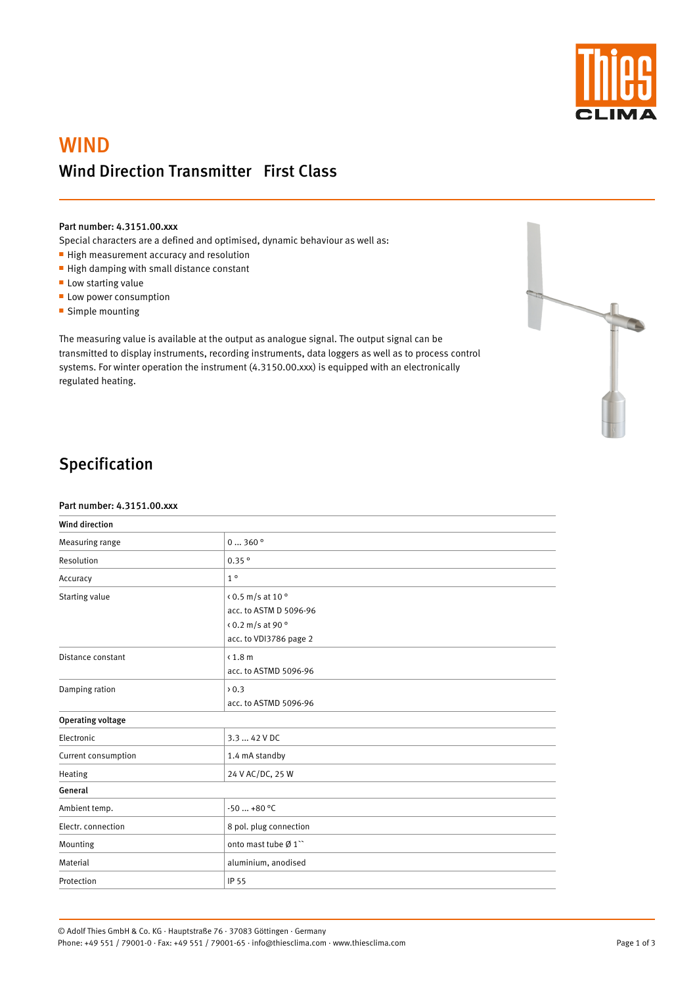

# **WIND** Wind Direction Transmitter First Class

#### Part number: 4.3151.00.xxx

Special characters are a defined and optimised, dynamic behaviour as well as:

- High measurement accuracy and resolution
- High damping with small distance constant
- **Low starting value**
- **Low power consumption**
- **Simple mounting**

The measuring value is available at the output as analogue signal. The output signal can be transmitted to display instruments, recording instruments, data loggers as well as to process control systems. For winter operation the instrument (4.3150.00.xxx) is equipped with an electronically regulated heating.



## Specification

#### Part number: 4.3151.00.xxx

| <b>Wind direction</b>    |                                                                                                             |  |
|--------------------------|-------------------------------------------------------------------------------------------------------------|--|
| Measuring range          | $0 \dots 360$ °                                                                                             |  |
| Resolution               | 0.35°                                                                                                       |  |
| Accuracy                 | $1^{\circ}$                                                                                                 |  |
| Starting value           | $(0.5 \text{ m/s at } 10^{\circ})$<br>acc. to ASTM D 5096-96<br>< 0.2 m/s at 90 °<br>acc. to VDI3786 page 2 |  |
| Distance constant        | $\langle 1.8 \text{ m}$<br>acc. to ASTMD 5096-96                                                            |  |
| Damping ration           | $\rightarrow 0.3$<br>acc. to ASTMD 5096-96                                                                  |  |
| <b>Operating voltage</b> |                                                                                                             |  |
| Electronic               | 3.3  42 V DC                                                                                                |  |
| Current consumption      | 1.4 mA standby                                                                                              |  |
| Heating                  | 24 V AC/DC, 25 W                                                                                            |  |
| General                  |                                                                                                             |  |
| Ambient temp.            | $-50$ +80 °C                                                                                                |  |
| Electr. connection       | 8 pol. plug connection                                                                                      |  |
| Mounting                 | onto mast tube Ø1"                                                                                          |  |
| Material                 | aluminium, anodised                                                                                         |  |
| Protection               | IP 55                                                                                                       |  |

Page 1 of 3

© Adolf Thies GmbH & Co. KG · Hauptstraße 76 · 37083 Göttingen · Germany Phone: +49 551 / 79001-0 · Fax: +49 551 / 79001-65 · info@thiesclima.com · www.thiesclima.com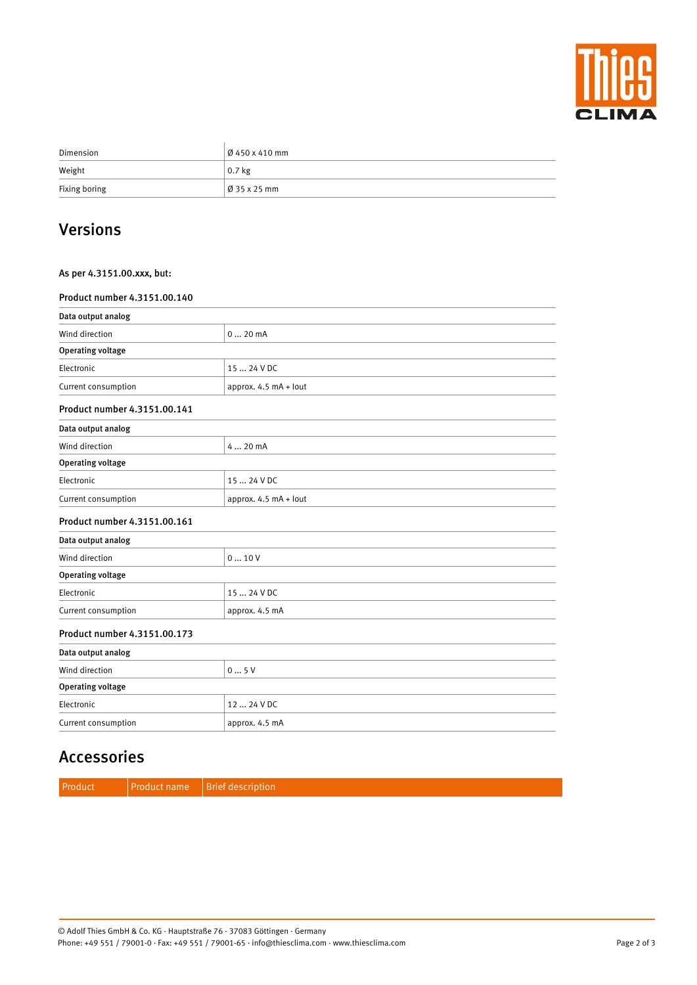

| Dimension     | $\frac{6}{9}$ 450 x 410 mm |
|---------------|----------------------------|
| Weight        | $0.7$ kg                   |
| Fixing boring | $\vert$ Ø 35 x 25 mm       |

### Versions

### As per 4.3151.00.xxx, but:

#### Product number 4.3151.00.140

| Data output analog           |                       |  |  |  |
|------------------------------|-----------------------|--|--|--|
| Wind direction               | 020mA                 |  |  |  |
| <b>Operating voltage</b>     |                       |  |  |  |
| Electronic                   | 15  24 V DC           |  |  |  |
| Current consumption          | approx. 4.5 mA + lout |  |  |  |
| Product number 4.3151.00.141 |                       |  |  |  |
| Data output analog           |                       |  |  |  |
| Wind direction               | 4  20 mA              |  |  |  |
| <b>Operating voltage</b>     |                       |  |  |  |
| Electronic                   | 15  24 V DC           |  |  |  |
| Current consumption          | approx. 4.5 mA + lout |  |  |  |
| Product number 4.3151.00.161 |                       |  |  |  |
| Data output analog           |                       |  |  |  |
| Wind direction               | 010V                  |  |  |  |
| <b>Operating voltage</b>     |                       |  |  |  |
| Electronic                   | 15  24 V DC           |  |  |  |
| Current consumption          | approx. 4.5 mA        |  |  |  |
| Product number 4.3151.00.173 |                       |  |  |  |
| Data output analog           |                       |  |  |  |
| Wind direction               | 05V                   |  |  |  |
| <b>Operating voltage</b>     |                       |  |  |  |
| Electronic                   | 12  24 V DC           |  |  |  |
| Current consumption          | approx. 4.5 mA        |  |  |  |

### Accessories

Product Product name Brief description

Page 2 of 3

© Adolf Thies GmbH & Co. KG · Hauptstraße 76 · 37083 Göttingen · Germany Phone: +49 551 / 79001-0 · Fax: +49 551 / 79001-65 · info@thiesclima.com · www.thiesclima.com